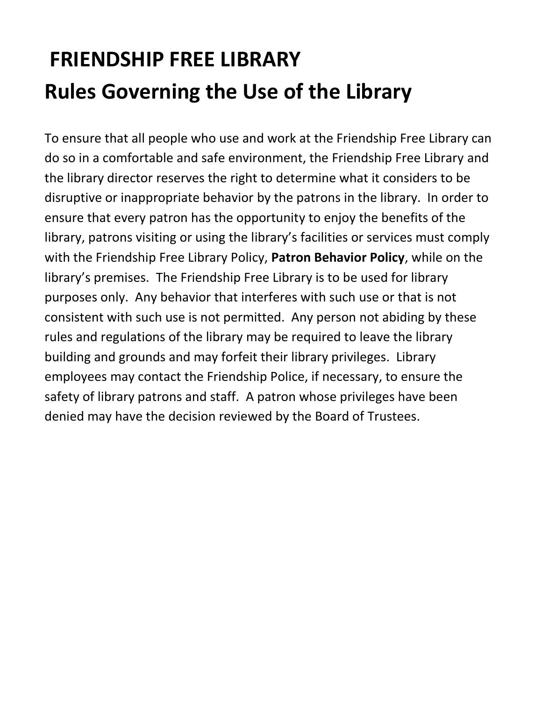# **FRIENDSHIP FREE LIBRARY Rules Governing the Use of the Library**

To ensure that all people who use and work at the Friendship Free Library can do so in a comfortable and safe environment, the Friendship Free Library and the library director reserves the right to determine what it considers to be disruptive or inappropriate behavior by the patrons in the library. In order to ensure that every patron has the opportunity to enjoy the benefits of the library, patrons visiting or using the library's facilities or services must comply with the Friendship Free Library Policy, **Patron Behavior Policy**, while on the library's premises. The Friendship Free Library is to be used for library purposes only. Any behavior that interferes with such use or that is not consistent with such use is not permitted. Any person not abiding by these rules and regulations of the library may be required to leave the library building and grounds and may forfeit their library privileges. Library employees may contact the Friendship Police, if necessary, to ensure the safety of library patrons and staff. A patron whose privileges have been denied may have the decision reviewed by the Board of Trustees.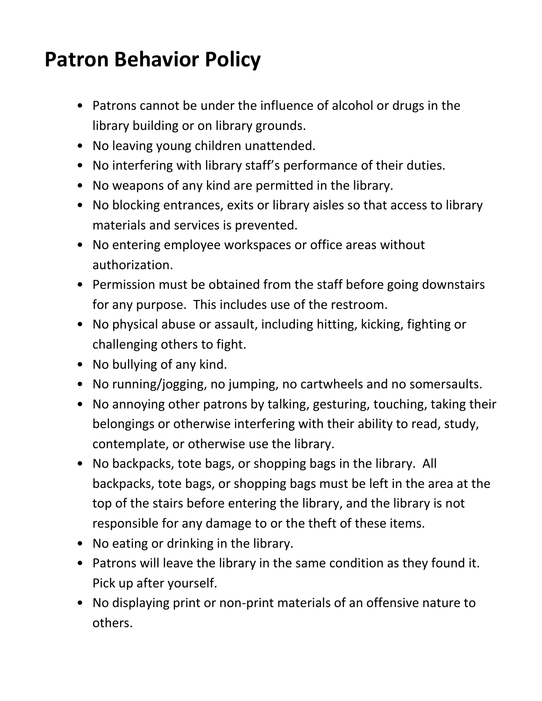#### **Patron Behavior Policy**

- Patrons cannot be under the influence of alcohol or drugs in the library building or on library grounds.
- No leaving young children unattended.
- No interfering with library staff's performance of their duties.
- No weapons of any kind are permitted in the library.
- No blocking entrances, exits or library aisles so that access to library materials and services is prevented.
- No entering employee workspaces or office areas without authorization.
- Permission must be obtained from the staff before going downstairs for any purpose. This includes use of the restroom.
- No physical abuse or assault, including hitting, kicking, fighting or challenging others to fight.
- No bullying of any kind.
- No running/jogging, no jumping, no cartwheels and no somersaults.
- No annoying other patrons by talking, gesturing, touching, taking their belongings or otherwise interfering with their ability to read, study, contemplate, or otherwise use the library.
- No backpacks, tote bags, or shopping bags in the library. All backpacks, tote bags, or shopping bags must be left in the area at the top of the stairs before entering the library, and the library is not responsible for any damage to or the theft of these items.
- No eating or drinking in the library.
- Patrons will leave the library in the same condition as they found it. Pick up after yourself.
- No displaying print or non-print materials of an offensive nature to others.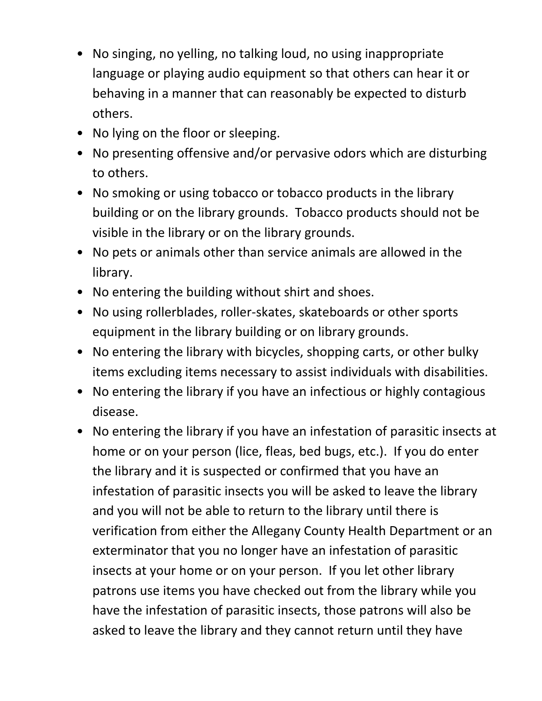- No singing, no yelling, no talking loud, no using inappropriate language or playing audio equipment so that others can hear it or behaving in a manner that can reasonably be expected to disturb others.
- No lying on the floor or sleeping.
- No presenting offensive and/or pervasive odors which are disturbing to others.
- No smoking or using tobacco or tobacco products in the library building or on the library grounds. Tobacco products should not be visible in the library or on the library grounds.
- No pets or animals other than service animals are allowed in the library.
- No entering the building without shirt and shoes.
- No using rollerblades, roller-skates, skateboards or other sports equipment in the library building or on library grounds.
- No entering the library with bicycles, shopping carts, or other bulky items excluding items necessary to assist individuals with disabilities.
- No entering the library if you have an infectious or highly contagious disease.
- No entering the library if you have an infestation of parasitic insects at home or on your person (lice, fleas, bed bugs, etc.). If you do enter the library and it is suspected or confirmed that you have an infestation of parasitic insects you will be asked to leave the library and you will not be able to return to the library until there is verification from either the Allegany County Health Department or an exterminator that you no longer have an infestation of parasitic insects at your home or on your person. If you let other library patrons use items you have checked out from the library while you have the infestation of parasitic insects, those patrons will also be asked to leave the library and they cannot return until they have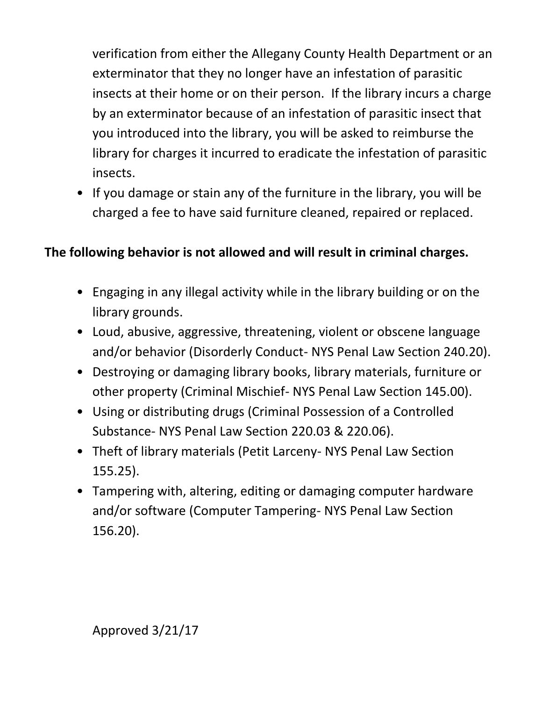verification from either the Allegany County Health Department or an exterminator that they no longer have an infestation of parasitic insects at their home or on their person. If the library incurs a charge by an exterminator because of an infestation of parasitic insect that you introduced into the library, you will be asked to reimburse the library for charges it incurred to eradicate the infestation of parasitic insects.

• If you damage or stain any of the furniture in the library, you will be charged a fee to have said furniture cleaned, repaired or replaced.

#### **The following behavior is not allowed and will result in criminal charges.**

- Engaging in any illegal activity while in the library building or on the library grounds.
- Loud, abusive, aggressive, threatening, violent or obscene language and/or behavior (Disorderly Conduct- NYS Penal Law Section 240.20).
- Destroying or damaging library books, library materials, furniture or other property (Criminal Mischief- NYS Penal Law Section 145.00).
- Using or distributing drugs (Criminal Possession of a Controlled Substance- NYS Penal Law Section 220.03 & 220.06).
- Theft of library materials (Petit Larceny- NYS Penal Law Section 155.25).
- Tampering with, altering, editing or damaging computer hardware and/or software (Computer Tampering- NYS Penal Law Section 156.20).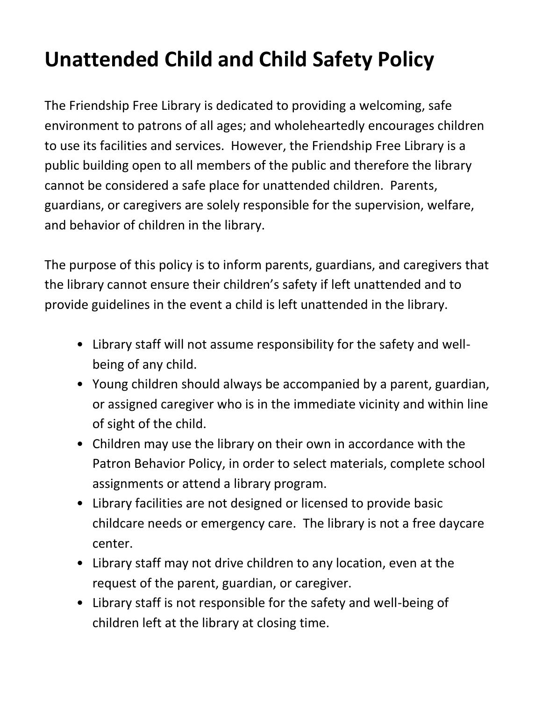# **Unattended Child and Child Safety Policy**

The Friendship Free Library is dedicated to providing a welcoming, safe environment to patrons of all ages; and wholeheartedly encourages children to use its facilities and services. However, the Friendship Free Library is a public building open to all members of the public and therefore the library cannot be considered a safe place for unattended children. Parents, guardians, or caregivers are solely responsible for the supervision, welfare, and behavior of children in the library.

The purpose of this policy is to inform parents, guardians, and caregivers that the library cannot ensure their children's safety if left unattended and to provide guidelines in the event a child is left unattended in the library.

- Library staff will not assume responsibility for the safety and wellbeing of any child.
- Young children should always be accompanied by a parent, guardian, or assigned caregiver who is in the immediate vicinity and within line of sight of the child.
- Children may use the library on their own in accordance with the Patron Behavior Policy, in order to select materials, complete school assignments or attend a library program.
- Library facilities are not designed or licensed to provide basic childcare needs or emergency care. The library is not a free daycare center.
- Library staff may not drive children to any location, even at the request of the parent, guardian, or caregiver.
- Library staff is not responsible for the safety and well-being of children left at the library at closing time.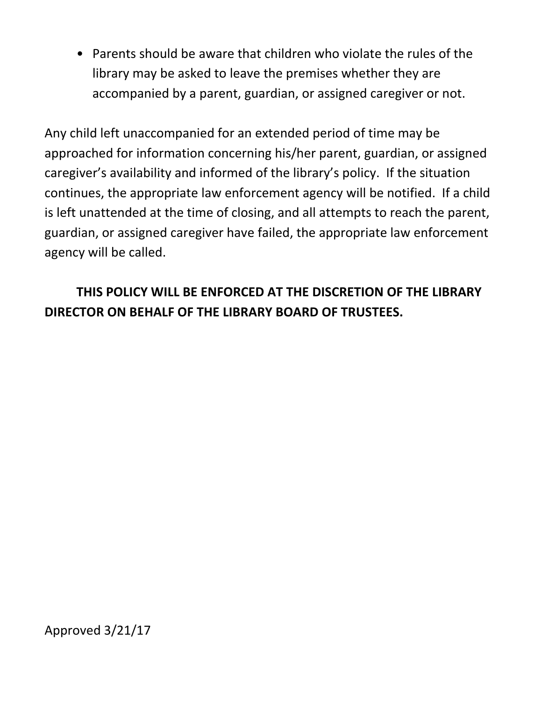• Parents should be aware that children who violate the rules of the library may be asked to leave the premises whether they are accompanied by a parent, guardian, or assigned caregiver or not.

Any child left unaccompanied for an extended period of time may be approached for information concerning his/her parent, guardian, or assigned caregiver's availability and informed of the library's policy. If the situation continues, the appropriate law enforcement agency will be notified. If a child is left unattended at the time of closing, and all attempts to reach the parent, guardian, or assigned caregiver have failed, the appropriate law enforcement agency will be called.

#### **THIS POLICY WILL BE ENFORCED AT THE DISCRETION OF THE LIBRARY DIRECTOR ON BEHALF OF THE LIBRARY BOARD OF TRUSTEES.**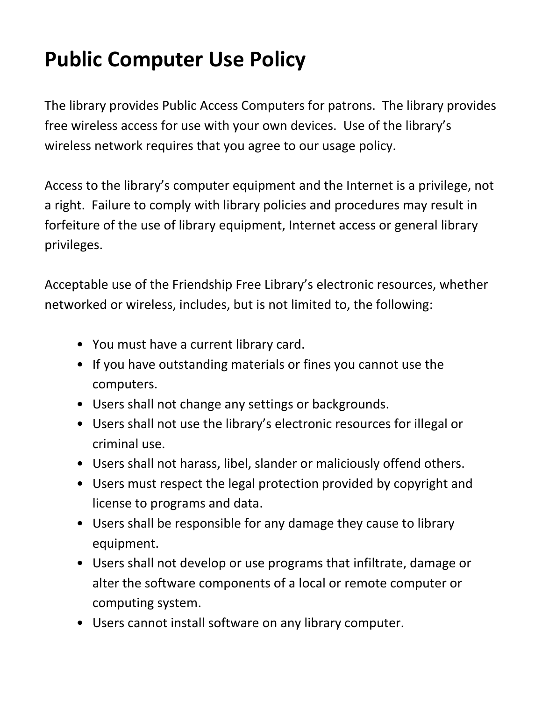## **Public Computer Use Policy**

The library provides Public Access Computers for patrons. The library provides free wireless access for use with your own devices. Use of the library's wireless network requires that you agree to our usage policy.

Access to the library's computer equipment and the Internet is a privilege, not a right. Failure to comply with library policies and procedures may result in forfeiture of the use of library equipment, Internet access or general library privileges.

Acceptable use of the Friendship Free Library's electronic resources, whether networked or wireless, includes, but is not limited to, the following:

- You must have a current library card.
- If you have outstanding materials or fines you cannot use the computers.
- Users shall not change any settings or backgrounds.
- Users shall not use the library's electronic resources for illegal or criminal use.
- Users shall not harass, libel, slander or maliciously offend others.
- Users must respect the legal protection provided by copyright and license to programs and data.
- Users shall be responsible for any damage they cause to library equipment.
- Users shall not develop or use programs that infiltrate, damage or alter the software components of a local or remote computer or computing system.
- Users cannot install software on any library computer.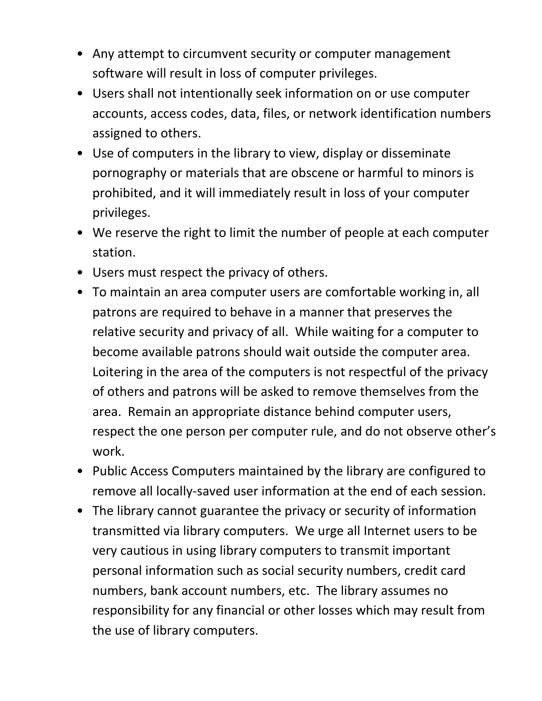- Any attempt to circumvent security or computer management software will result in loss of computer privileges.
- Users shall not intentionally seek information on or use computer accounts, access codes, data, files, or network identification numbers assigned to others.
- Use of computers in the library to view, display or disseminate pornography or materials that are obscene or harmful to minors is prohibited, and it will immediately result in loss of your computer privileges.
- We reserve the right to limit the number of people at each computer station.
- Users must respect the privacy of others.
- To maintain an area computer users are comfortable working in, all patrons are required to behave in a manner that preserves the relative security and privacy of all. While waiting for a computer to become available patrons should wait outside the computer area. Loitering in the area of the computers is not respectful of the privacy of others and patrons will be asked to remove themselves from the area. Remain an appropriate distance behind computer users, respect the one person per computer rule, and do not observe other's work.
- Public Access Computers maintained by the library are configured to remove all locally-saved user information at the end of each session.
- The library cannot guarantee the privacy or security of information transmitted via library computers. We urge all Internet users to be very cautious in using library computers to transmit important personal information such as social security numbers, credit card numbers, bank account numbers, etc. The library assumes no responsibility for any financial or other losses which may result from the use of library computers.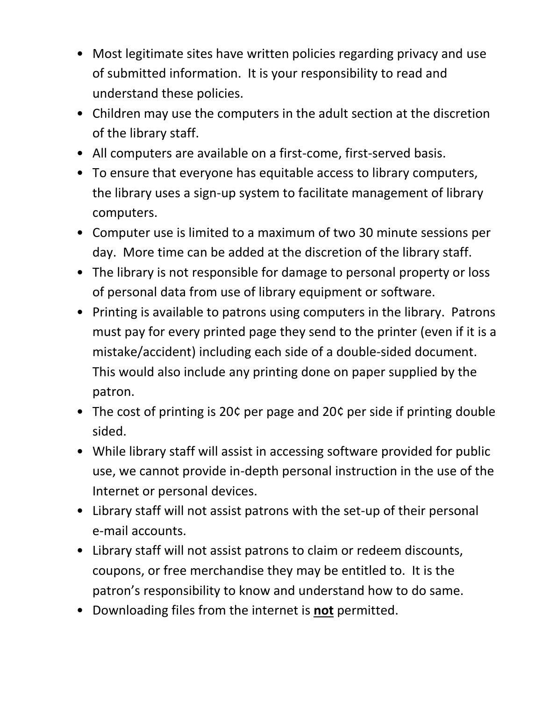- Most legitimate sites have written policies regarding privacy and use of submitted information. It is your responsibility to read and understand these policies.
- Children may use the computers in the adult section at the discretion of the library staff.
- All computers are available on a first-come, first-served basis.
- To ensure that everyone has equitable access to library computers, the library uses a sign-up system to facilitate management of library computers.
- Computer use is limited to a maximum of two 30 minute sessions per day. More time can be added at the discretion of the library staff.
- The library is not responsible for damage to personal property or loss of personal data from use of library equipment or software.
- Printing is available to patrons using computers in the library. Patrons must pay for every printed page they send to the printer (even if it is a mistake/accident) including each side of a double-sided document. This would also include any printing done on paper supplied by the patron.
- The cost of printing is 20¢ per page and 20¢ per side if printing double sided.
- While library staff will assist in accessing software provided for public use, we cannot provide in-depth personal instruction in the use of the Internet or personal devices.
- Library staff will not assist patrons with the set-up of their personal e-mail accounts.
- Library staff will not assist patrons to claim or redeem discounts, coupons, or free merchandise they may be entitled to. It is the patron's responsibility to know and understand how to do same.
- Downloading files from the internet is **not** permitted.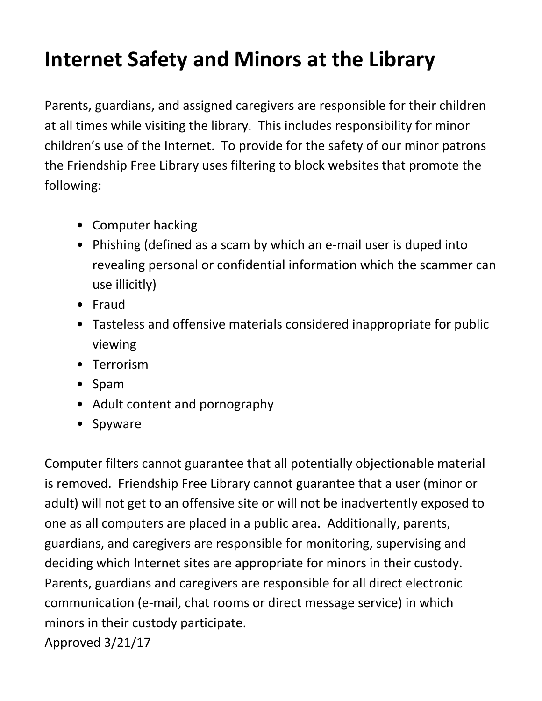## **Internet Safety and Minors at the Library**

Parents, guardians, and assigned caregivers are responsible for their children at all times while visiting the library. This includes responsibility for minor children's use of the Internet. To provide for the safety of our minor patrons the Friendship Free Library uses filtering to block websites that promote the following:

- Computer hacking
- Phishing (defined as a scam by which an e-mail user is duped into revealing personal or confidential information which the scammer can use illicitly)
- Fraud
- Tasteless and offensive materials considered inappropriate for public viewing
- Terrorism
- Spam
- Adult content and pornography
- Spyware

Computer filters cannot guarantee that all potentially objectionable material is removed. Friendship Free Library cannot guarantee that a user (minor or adult) will not get to an offensive site or will not be inadvertently exposed to one as all computers are placed in a public area. Additionally, parents, guardians, and caregivers are responsible for monitoring, supervising and deciding which Internet sites are appropriate for minors in their custody. Parents, guardians and caregivers are responsible for all direct electronic communication (e-mail, chat rooms or direct message service) in which minors in their custody participate.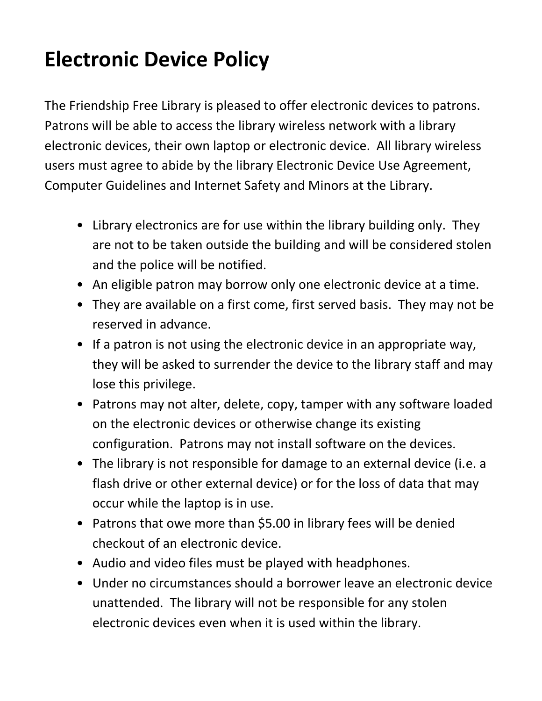## **Electronic Device Policy**

The Friendship Free Library is pleased to offer electronic devices to patrons. Patrons will be able to access the library wireless network with a library electronic devices, their own laptop or electronic device. All library wireless users must agree to abide by the library Electronic Device Use Agreement, Computer Guidelines and Internet Safety and Minors at the Library.

- Library electronics are for use within the library building only. They are not to be taken outside the building and will be considered stolen and the police will be notified.
- An eligible patron may borrow only one electronic device at a time.
- They are available on a first come, first served basis. They may not be reserved in advance.
- If a patron is not using the electronic device in an appropriate way, they will be asked to surrender the device to the library staff and may lose this privilege.
- Patrons may not alter, delete, copy, tamper with any software loaded on the electronic devices or otherwise change its existing configuration. Patrons may not install software on the devices.
- The library is not responsible for damage to an external device (i.e. a flash drive or other external device) or for the loss of data that may occur while the laptop is in use.
- Patrons that owe more than \$5.00 in library fees will be denied checkout of an electronic device.
- Audio and video files must be played with headphones.
- Under no circumstances should a borrower leave an electronic device unattended. The library will not be responsible for any stolen electronic devices even when it is used within the library.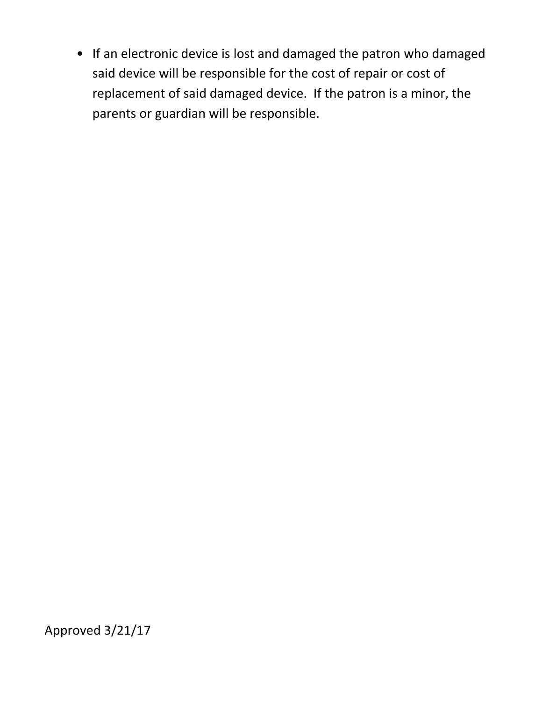• If an electronic device is lost and damaged the patron who damaged said device will be responsible for the cost of repair or cost of replacement of said damaged device. If the patron is a minor, the parents or guardian will be responsible.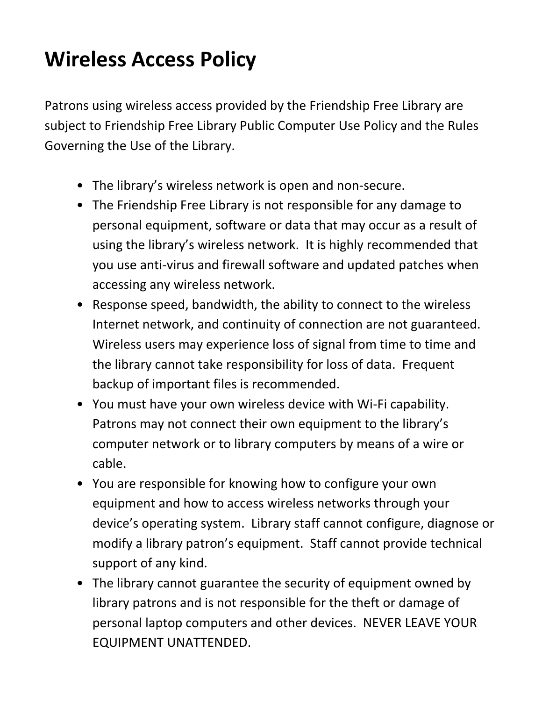## **Wireless Access Policy**

Patrons using wireless access provided by the Friendship Free Library are subject to Friendship Free Library Public Computer Use Policy and the Rules Governing the Use of the Library.

- The library's wireless network is open and non-secure.
- The Friendship Free Library is not responsible for any damage to personal equipment, software or data that may occur as a result of using the library's wireless network. It is highly recommended that you use anti-virus and firewall software and updated patches when accessing any wireless network.
- Response speed, bandwidth, the ability to connect to the wireless Internet network, and continuity of connection are not guaranteed. Wireless users may experience loss of signal from time to time and the library cannot take responsibility for loss of data. Frequent backup of important files is recommended.
- You must have your own wireless device with Wi-Fi capability. Patrons may not connect their own equipment to the library's computer network or to library computers by means of a wire or cable.
- You are responsible for knowing how to configure your own equipment and how to access wireless networks through your device's operating system. Library staff cannot configure, diagnose or modify a library patron's equipment. Staff cannot provide technical support of any kind.
- The library cannot guarantee the security of equipment owned by library patrons and is not responsible for the theft or damage of personal laptop computers and other devices. NEVER LEAVE YOUR EQUIPMENT UNATTENDED.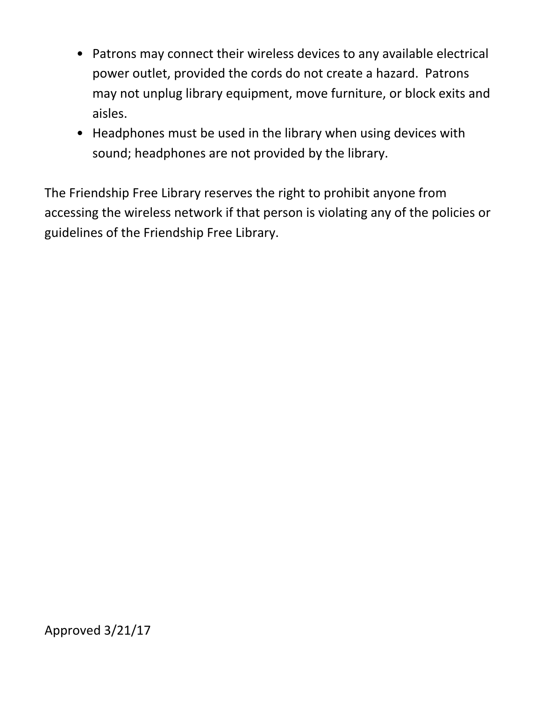- Patrons may connect their wireless devices to any available electrical power outlet, provided the cords do not create a hazard. Patrons may not unplug library equipment, move furniture, or block exits and aisles.
- Headphones must be used in the library when using devices with sound; headphones are not provided by the library.

The Friendship Free Library reserves the right to prohibit anyone from accessing the wireless network if that person is violating any of the policies or guidelines of the Friendship Free Library.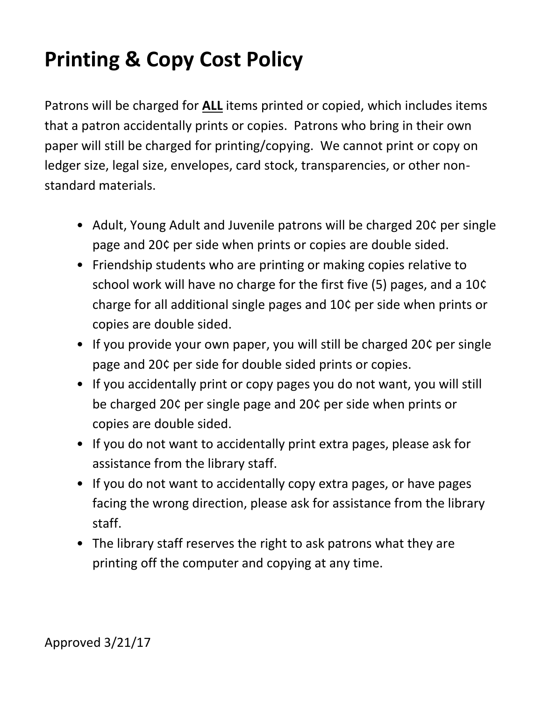## **Printing & Copy Cost Policy**

Patrons will be charged for **ALL** items printed or copied, which includes items that a patron accidentally prints or copies. Patrons who bring in their own paper will still be charged for printing/copying. We cannot print or copy on ledger size, legal size, envelopes, card stock, transparencies, or other nonstandard materials.

- Adult, Young Adult and Juvenile patrons will be charged 20¢ per single page and 20¢ per side when prints or copies are double sided.
- Friendship students who are printing or making copies relative to school work will have no charge for the first five (5) pages, and a 10¢ charge for all additional single pages and 10¢ per side when prints or copies are double sided.
- If you provide your own paper, you will still be charged 20¢ per single page and 20¢ per side for double sided prints or copies.
- If you accidentally print or copy pages you do not want, you will still be charged 20¢ per single page and 20¢ per side when prints or copies are double sided.
- If you do not want to accidentally print extra pages, please ask for assistance from the library staff.
- If you do not want to accidentally copy extra pages, or have pages facing the wrong direction, please ask for assistance from the library staff.
- The library staff reserves the right to ask patrons what they are printing off the computer and copying at any time.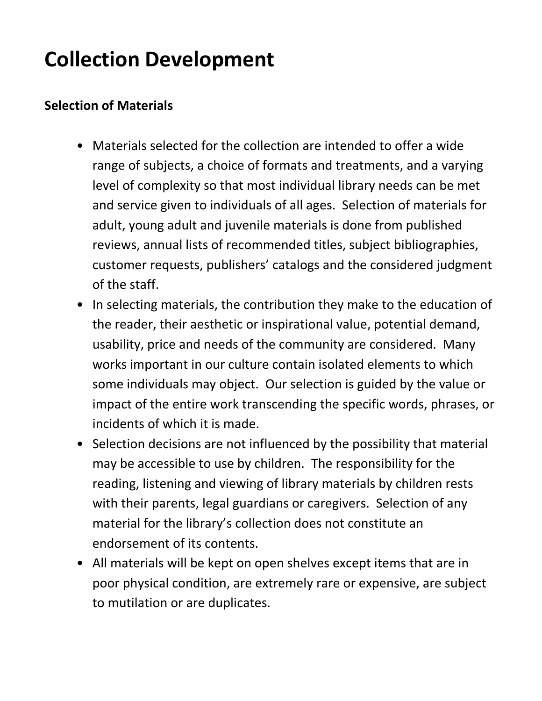#### **Collection Development**

#### **Selection of Materials**

- Materials selected for the collection are intended to offer a wide range of subjects, a choice of formats and treatments, and a varying level of complexity so that most individual library needs can be met and service given to individuals of all ages. Selection of materials for adult, young adult and juvenile materials is done from published reviews, annual lists of recommended titles, subject bibliographies, customer requests, publishers' catalogs and the considered judgment of the staff.
- In selecting materials, the contribution they make to the education of the reader, their aesthetic or inspirational value, potential demand, usability, price and needs of the community are considered. Many works important in our culture contain isolated elements to which some individuals may object. Our selection is guided by the value or impact of the entire work transcending the specific words, phrases, or incidents of which it is made.
- Selection decisions are not influenced by the possibility that material may be accessible to use by children. The responsibility for the reading, listening and viewing of library materials by children rests with their parents, legal guardians or caregivers. Selection of any material for the library's collection does not constitute an endorsement of its contents.
- All materials will be kept on open shelves except items that are in poor physical condition, are extremely rare or expensive, are subject to mutilation or are duplicates.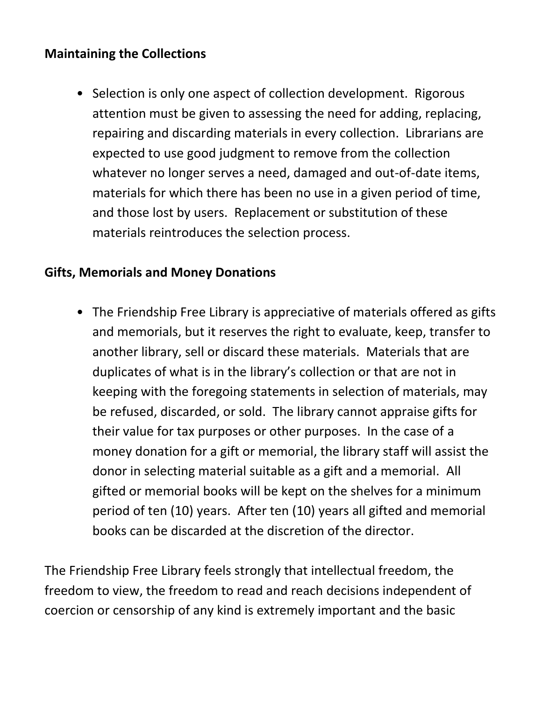#### **Maintaining the Collections**

• Selection is only one aspect of collection development. Rigorous attention must be given to assessing the need for adding, replacing, repairing and discarding materials in every collection. Librarians are expected to use good judgment to remove from the collection whatever no longer serves a need, damaged and out-of-date items, materials for which there has been no use in a given period of time, and those lost by users. Replacement or substitution of these materials reintroduces the selection process.

#### **Gifts, Memorials and Money Donations**

• The Friendship Free Library is appreciative of materials offered as gifts and memorials, but it reserves the right to evaluate, keep, transfer to another library, sell or discard these materials. Materials that are duplicates of what is in the library's collection or that are not in keeping with the foregoing statements in selection of materials, may be refused, discarded, or sold. The library cannot appraise gifts for their value for tax purposes or other purposes. In the case of a money donation for a gift or memorial, the library staff will assist the donor in selecting material suitable as a gift and a memorial. All gifted or memorial books will be kept on the shelves for a minimum period of ten (10) years. After ten (10) years all gifted and memorial books can be discarded at the discretion of the director.

The Friendship Free Library feels strongly that intellectual freedom, the freedom to view, the freedom to read and reach decisions independent of coercion or censorship of any kind is extremely important and the basic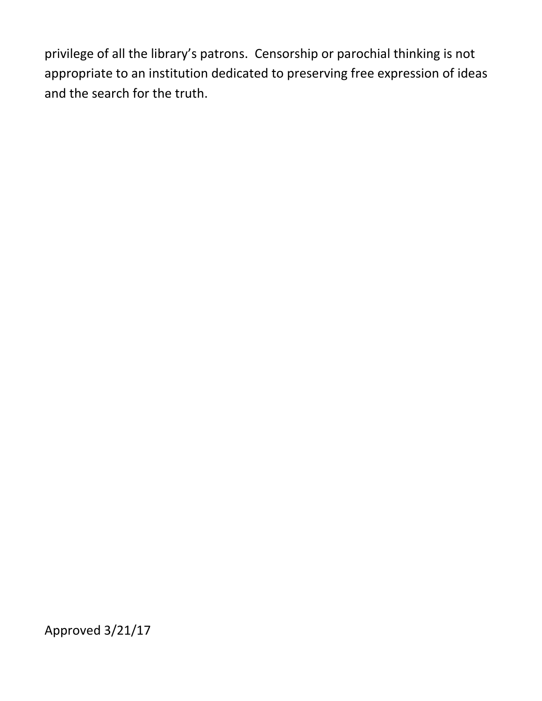privilege of all the library's patrons. Censorship or parochial thinking is not appropriate to an institution dedicated to preserving free expression of ideas and the search for the truth.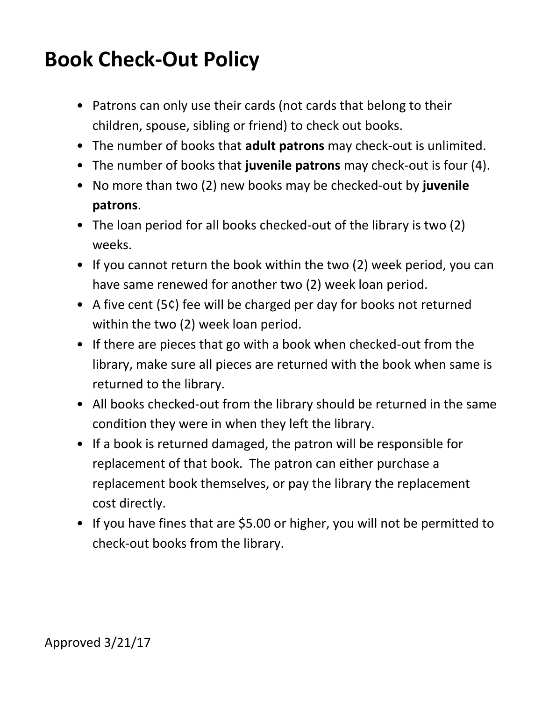#### **Book Check-Out Policy**

- Patrons can only use their cards (not cards that belong to their children, spouse, sibling or friend) to check out books.
- The number of books that **adult patrons** may check-out is unlimited.
- The number of books that **juvenile patrons** may check-out is four (4).
- No more than two (2) new books may be checked-out by **juvenile patrons**.
- The loan period for all books checked-out of the library is two (2) weeks.
- If you cannot return the book within the two (2) week period, you can have same renewed for another two (2) week loan period.
- A five cent (5¢) fee will be charged per day for books not returned within the two (2) week loan period.
- If there are pieces that go with a book when checked-out from the library, make sure all pieces are returned with the book when same is returned to the library.
- All books checked-out from the library should be returned in the same condition they were in when they left the library.
- If a book is returned damaged, the patron will be responsible for replacement of that book. The patron can either purchase a replacement book themselves, or pay the library the replacement cost directly.
- If you have fines that are \$5.00 or higher, you will not be permitted to check-out books from the library.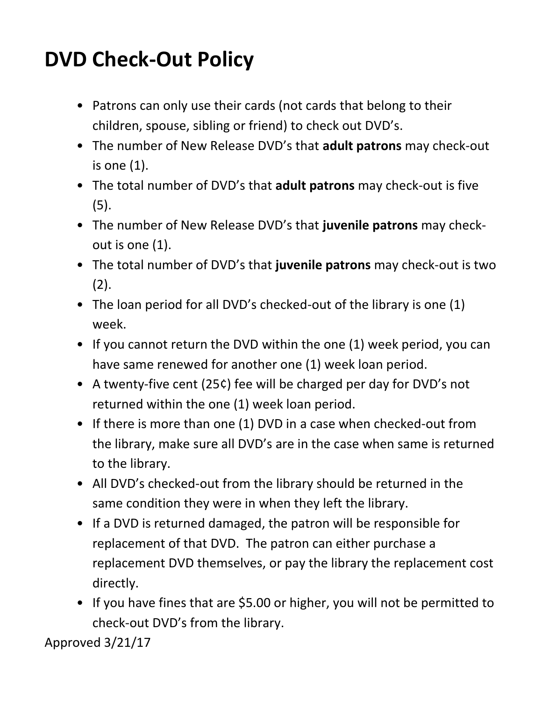#### **DVD Check-Out Policy**

- Patrons can only use their cards (not cards that belong to their children, spouse, sibling or friend) to check out DVD's.
- The number of New Release DVD's that **adult patrons** may check-out is one (1).
- The total number of DVD's that **adult patrons** may check-out is five (5).
- The number of New Release DVD's that **juvenile patrons** may checkout is one (1).
- The total number of DVD's that **juvenile patrons** may check-out is two  $(2).$
- The loan period for all DVD's checked-out of the library is one (1) week.
- If you cannot return the DVD within the one (1) week period, you can have same renewed for another one (1) week loan period.
- A twenty-five cent (25¢) fee will be charged per day for DVD's not returned within the one (1) week loan period.
- If there is more than one (1) DVD in a case when checked-out from the library, make sure all DVD's are in the case when same is returned to the library.
- All DVD's checked-out from the library should be returned in the same condition they were in when they left the library.
- If a DVD is returned damaged, the patron will be responsible for replacement of that DVD. The patron can either purchase a replacement DVD themselves, or pay the library the replacement cost directly.
- If you have fines that are \$5.00 or higher, you will not be permitted to check-out DVD's from the library.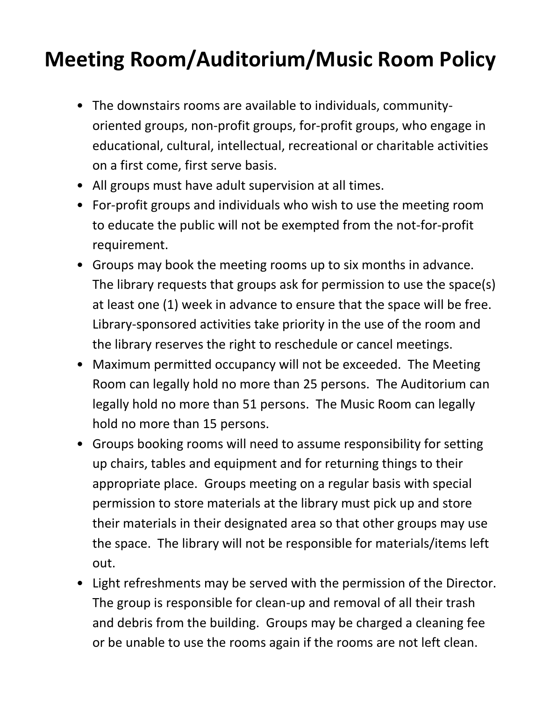#### **Meeting Room/Auditorium/Music Room Policy**

- The downstairs rooms are available to individuals, communityoriented groups, non-profit groups, for-profit groups, who engage in educational, cultural, intellectual, recreational or charitable activities on a first come, first serve basis.
- All groups must have adult supervision at all times.
- For-profit groups and individuals who wish to use the meeting room to educate the public will not be exempted from the not-for-profit requirement.
- Groups may book the meeting rooms up to six months in advance. The library requests that groups ask for permission to use the space(s) at least one (1) week in advance to ensure that the space will be free. Library-sponsored activities take priority in the use of the room and the library reserves the right to reschedule or cancel meetings.
- Maximum permitted occupancy will not be exceeded. The Meeting Room can legally hold no more than 25 persons. The Auditorium can legally hold no more than 51 persons. The Music Room can legally hold no more than 15 persons.
- Groups booking rooms will need to assume responsibility for setting up chairs, tables and equipment and for returning things to their appropriate place. Groups meeting on a regular basis with special permission to store materials at the library must pick up and store their materials in their designated area so that other groups may use the space. The library will not be responsible for materials/items left out.
- Light refreshments may be served with the permission of the Director. The group is responsible for clean-up and removal of all their trash and debris from the building. Groups may be charged a cleaning fee or be unable to use the rooms again if the rooms are not left clean.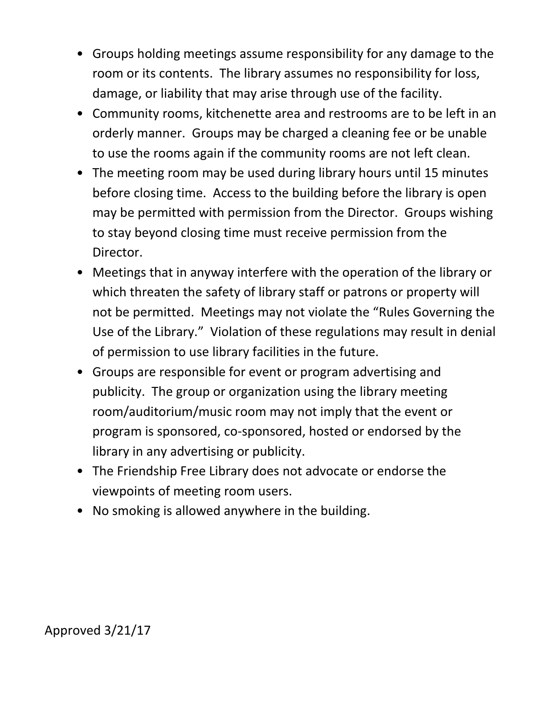- Groups holding meetings assume responsibility for any damage to the room or its contents. The library assumes no responsibility for loss, damage, or liability that may arise through use of the facility.
- Community rooms, kitchenette area and restrooms are to be left in an orderly manner. Groups may be charged a cleaning fee or be unable to use the rooms again if the community rooms are not left clean.
- The meeting room may be used during library hours until 15 minutes before closing time. Access to the building before the library is open may be permitted with permission from the Director. Groups wishing to stay beyond closing time must receive permission from the Director.
- Meetings that in anyway interfere with the operation of the library or which threaten the safety of library staff or patrons or property will not be permitted. Meetings may not violate the "Rules Governing the Use of the Library." Violation of these regulations may result in denial of permission to use library facilities in the future.
- Groups are responsible for event or program advertising and publicity. The group or organization using the library meeting room/auditorium/music room may not imply that the event or program is sponsored, co-sponsored, hosted or endorsed by the library in any advertising or publicity.
- The Friendship Free Library does not advocate or endorse the viewpoints of meeting room users.
- No smoking is allowed anywhere in the building.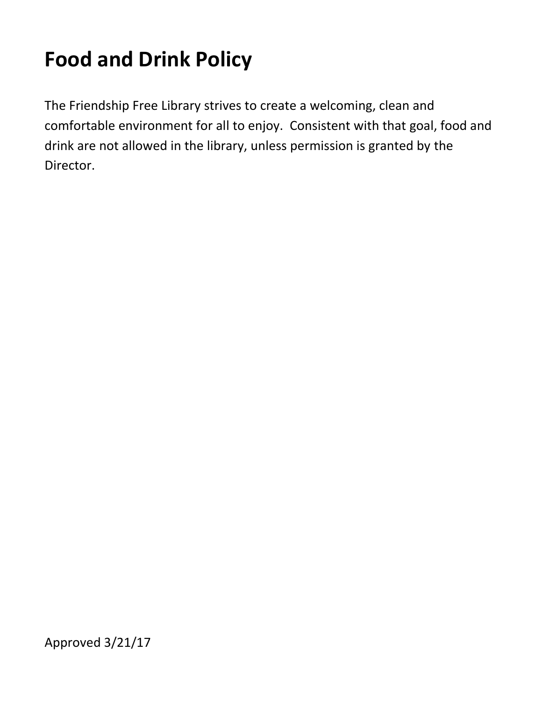# **Food and Drink Policy**

The Friendship Free Library strives to create a welcoming, clean and comfortable environment for all to enjoy. Consistent with that goal, food and drink are not allowed in the library, unless permission is granted by the Director.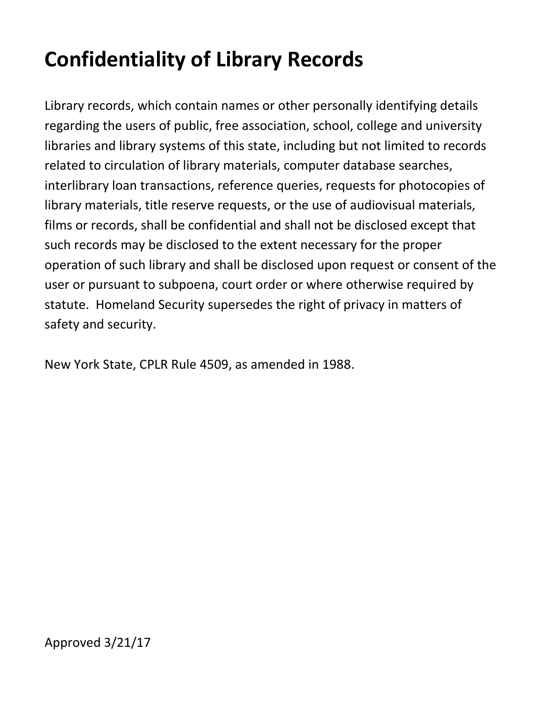# **Confidentiality of Library Records**

Library records, which contain names or other personally identifying details regarding the users of public, free association, school, college and university libraries and library systems of this state, including but not limited to records related to circulation of library materials, computer database searches, interlibrary loan transactions, reference queries, requests for photocopies of library materials, title reserve requests, or the use of audiovisual materials, films or records, shall be confidential and shall not be disclosed except that such records may be disclosed to the extent necessary for the proper operation of such library and shall be disclosed upon request or consent of the user or pursuant to subpoena, court order or where otherwise required by statute. Homeland Security supersedes the right of privacy in matters of safety and security.

New York State, CPLR Rule 4509, as amended in 1988.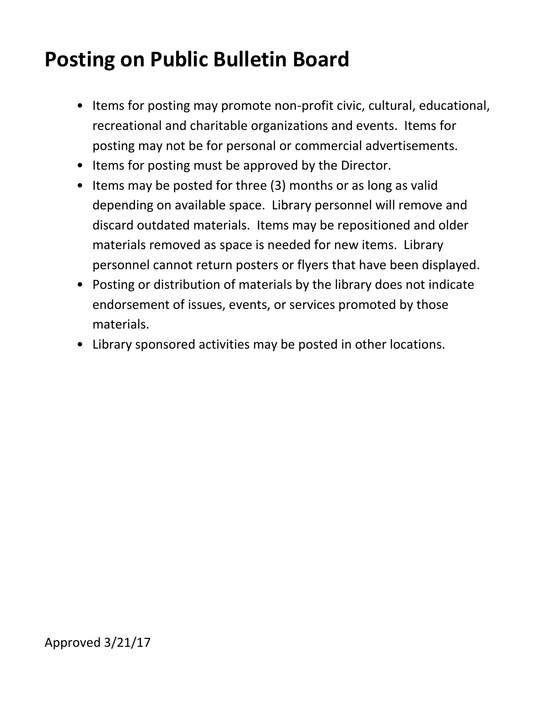#### **Posting on Public Bulletin Board**

- Items for posting may promote non-profit civic, cultural, educational, recreational and charitable organizations and events. Items for posting may not be for personal or commercial advertisements.
- Items for posting must be approved by the Director.
- Items may be posted for three (3) months or as long as valid depending on available space. Library personnel will remove and discard outdated materials. Items may be repositioned and older materials removed as space is needed for new items. Library personnel cannot return posters or flyers that have been displayed.
- Posting or distribution of materials by the library does not indicate endorsement of issues, events, or services promoted by those materials.
- Library sponsored activities may be posted in other locations.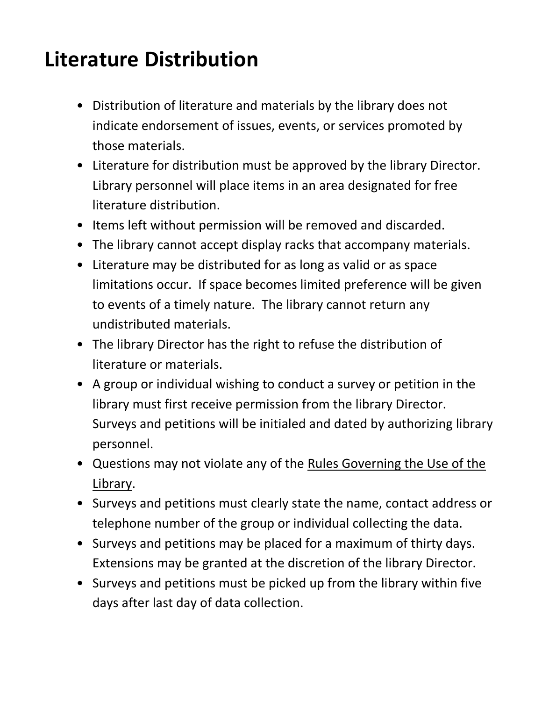#### **Literature Distribution**

- Distribution of literature and materials by the library does not indicate endorsement of issues, events, or services promoted by those materials.
- Literature for distribution must be approved by the library Director. Library personnel will place items in an area designated for free literature distribution.
- Items left without permission will be removed and discarded.
- The library cannot accept display racks that accompany materials.
- Literature may be distributed for as long as valid or as space limitations occur. If space becomes limited preference will be given to events of a timely nature. The library cannot return any undistributed materials.
- The library Director has the right to refuse the distribution of literature or materials.
- A group or individual wishing to conduct a survey or petition in the library must first receive permission from the library Director. Surveys and petitions will be initialed and dated by authorizing library personnel.
- Questions may not violate any of the Rules Governing the Use of the Library.
- Surveys and petitions must clearly state the name, contact address or telephone number of the group or individual collecting the data.
- Surveys and petitions may be placed for a maximum of thirty days. Extensions may be granted at the discretion of the library Director.
- Surveys and petitions must be picked up from the library within five days after last day of data collection.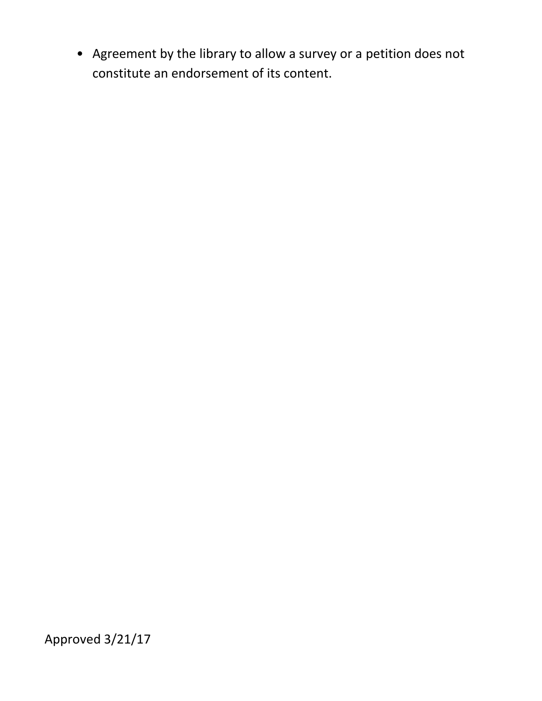• Agreement by the library to allow a survey or a petition does not constitute an endorsement of its content.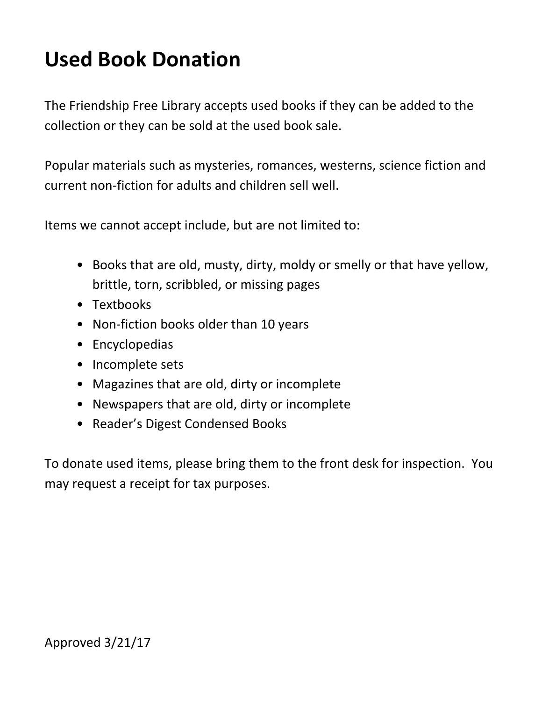## **Used Book Donation**

The Friendship Free Library accepts used books if they can be added to the collection or they can be sold at the used book sale.

Popular materials such as mysteries, romances, westerns, science fiction and current non-fiction for adults and children sell well.

Items we cannot accept include, but are not limited to:

- Books that are old, musty, dirty, moldy or smelly or that have yellow, brittle, torn, scribbled, or missing pages
- Textbooks
- Non-fiction books older than 10 years
- Encyclopedias
- Incomplete sets
- Magazines that are old, dirty or incomplete
- Newspapers that are old, dirty or incomplete
- Reader's Digest Condensed Books

To donate used items, please bring them to the front desk for inspection. You may request a receipt for tax purposes.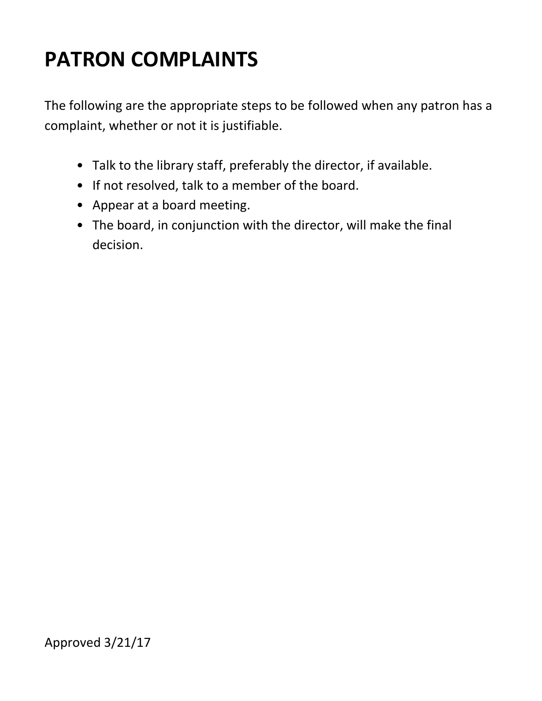## **PATRON COMPLAINTS**

The following are the appropriate steps to be followed when any patron has a complaint, whether or not it is justifiable.

- Talk to the library staff, preferably the director, if available.
- If not resolved, talk to a member of the board.
- Appear at a board meeting.
- The board, in conjunction with the director, will make the final decision.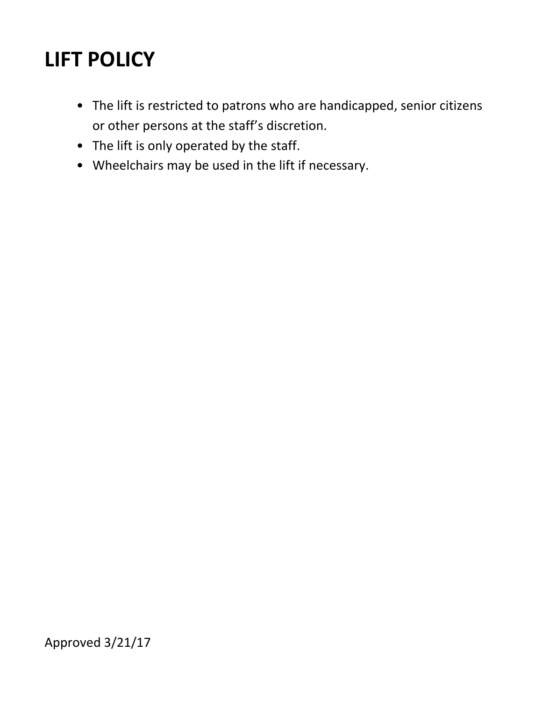### **LIFT POLICY**

- The lift is restricted to patrons who are handicapped, senior citizens or other persons at the staff's discretion.
- The lift is only operated by the staff.
- Wheelchairs may be used in the lift if necessary.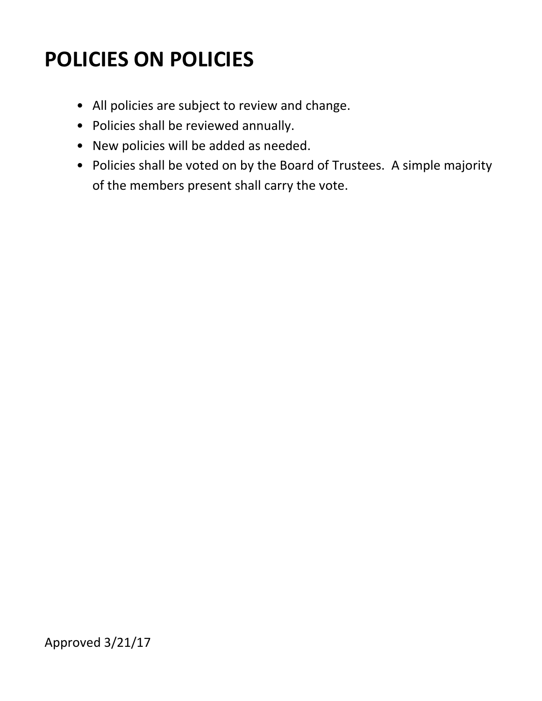### **POLICIES ON POLICIES**

- All policies are subject to review and change.
- Policies shall be reviewed annually.
- New policies will be added as needed.
- Policies shall be voted on by the Board of Trustees. A simple majority of the members present shall carry the vote.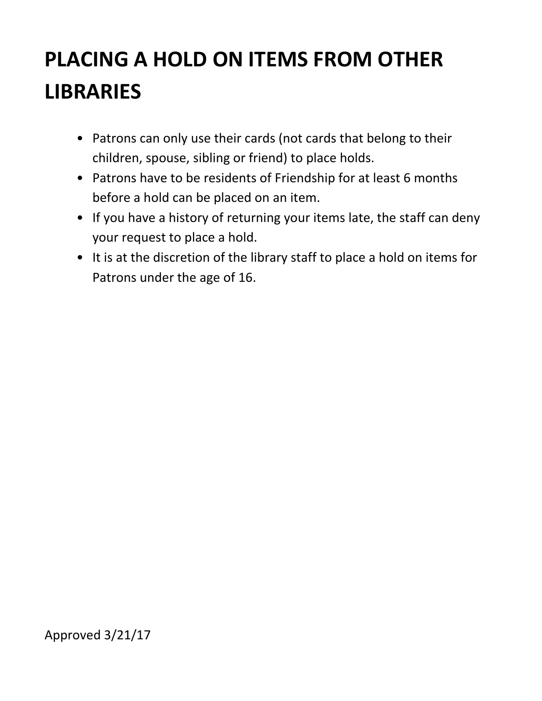# **PLACING A HOLD ON ITEMS FROM OTHER LIBRARIES**

- Patrons can only use their cards (not cards that belong to their children, spouse, sibling or friend) to place holds.
- Patrons have to be residents of Friendship for at least 6 months before a hold can be placed on an item.
- If you have a history of returning your items late, the staff can deny your request to place a hold.
- It is at the discretion of the library staff to place a hold on items for Patrons under the age of 16.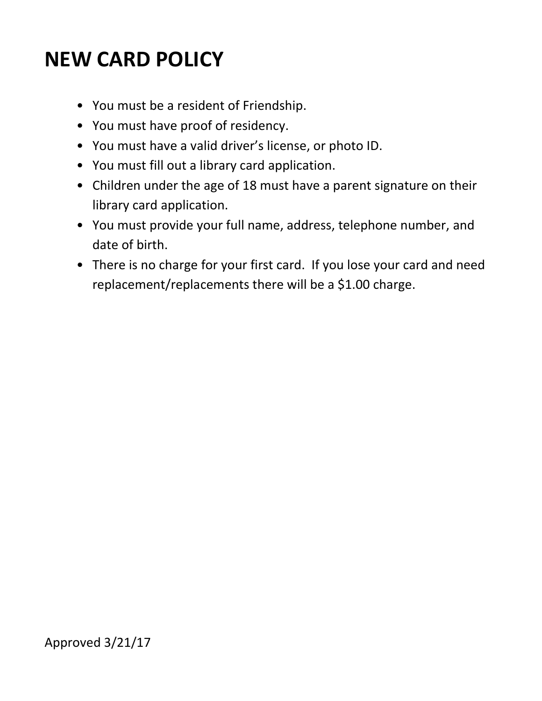#### **NEW CARD POLICY**

- You must be a resident of Friendship.
- You must have proof of residency.
- You must have a valid driver's license, or photo ID.
- You must fill out a library card application.
- Children under the age of 18 must have a parent signature on their library card application.
- You must provide your full name, address, telephone number, and date of birth.
- There is no charge for your first card. If you lose your card and need replacement/replacements there will be a \$1.00 charge.